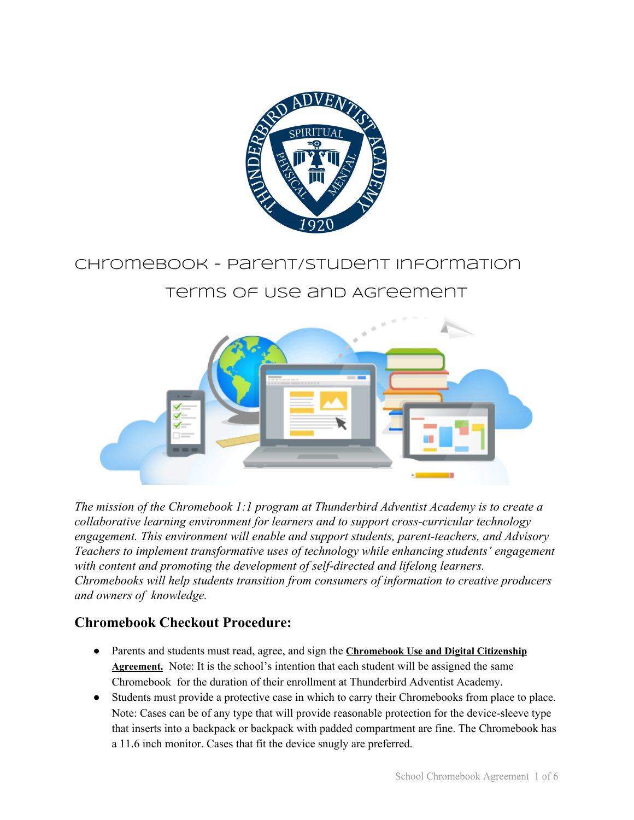

# Chromebook - Parent/Student Information

# Terms of Use and Agreement



*The mission of the Chromebook 1:1 program at Thunderbird Adventist Academy is to create a collaborative learning environment for learners and to support cross-curricular technology engagement. This environment will enable and support students, parent-teachers, and Advisory Teachers to implement transformative uses of technology while enhancing students' engagement with content and promoting the development of self-directed and lifelong learners. Chromebooks will help students transition from consumers of information to creative producers and owners of knowledge.*

## **Chromebook Checkout Procedure:**

- Parents and students must read, agree, and sign the **Chromebook Use and Digital Citizenship Agreement.** Note: It is the school's intention that each student will be assigned the same Chromebook for the duration of their enrollment at Thunderbird Adventist Academy.
- Students must provide a protective case in which to carry their Chromebooks from place to place. Note: Cases can be of any type that will provide reasonable protection for the device-sleeve type that inserts into a backpack or backpack with padded compartment are fine. The Chromebook has a 11.6 inch monitor. Cases that fit the device snugly are preferred.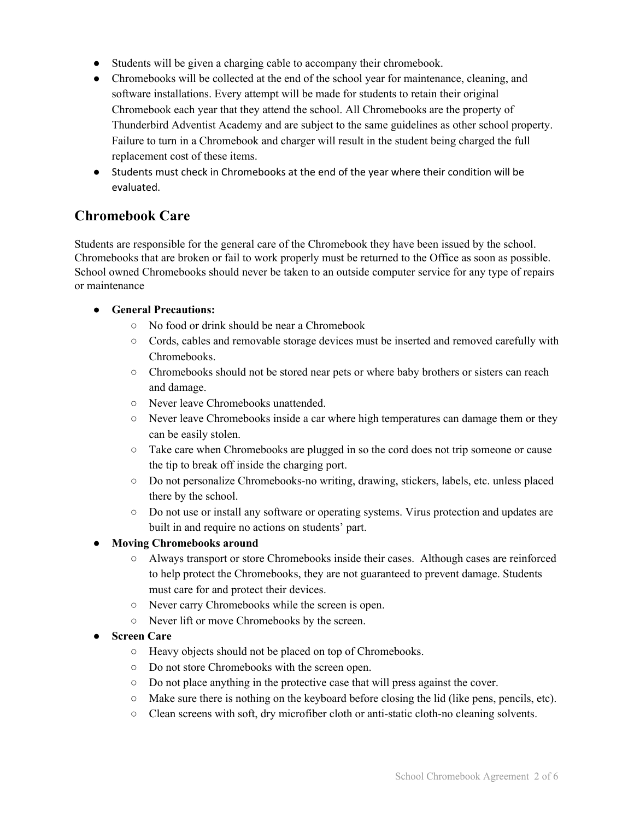- Students will be given a charging cable to accompany their chromebook.
- Chromebooks will be collected at the end of the school year for maintenance, cleaning, and software installations. Every attempt will be made for students to retain their original Chromebook each year that they attend the school. All Chromebooks are the property of Thunderbird Adventist Academy and are subject to the same guidelines as other school property. Failure to turn in a Chromebook and charger will result in the student being charged the full replacement cost of these items.
- Students must check in Chromebooks at the end of the year where their condition will be evaluated.

## **Chromebook Care**

Students are responsible for the general care of the Chromebook they have been issued by the school. Chromebooks that are broken or fail to work properly must be returned to the Office as soon as possible. School owned Chromebooks should never be taken to an outside computer service for any type of repairs or maintenance

#### **● General Precautions:**

- No food or drink should be near a Chromebook
- Cords, cables and removable storage devices must be inserted and removed carefully with Chromebooks.
- Chromebooks should not be stored near pets or where baby brothers or sisters can reach and damage.
- Never leave Chromebooks unattended.
- Never leave Chromebooks inside a car where high temperatures can damage them or they can be easily stolen.
- Take care when Chromebooks are plugged in so the cord does not trip someone or cause the tip to break off inside the charging port.
- Do not personalize Chromebooks-no writing, drawing, stickers, labels, etc. unless placed there by the school.
- Do not use or install any software or operating systems. Virus protection and updates are built in and require no actions on students' part.

#### **● Moving Chromebooks around**

- Always transport or store Chromebooks inside their cases. Although cases are reinforced to help protect the Chromebooks, they are not guaranteed to prevent damage. Students must care for and protect their devices.
- Never carry Chromebooks while the screen is open.
- Never lift or move Chromebooks by the screen.

#### **● Screen Care**

- Heavy objects should not be placed on top of Chromebooks.
- Do not store Chromebooks with the screen open.
- Do not place anything in the protective case that will press against the cover.
- Make sure there is nothing on the keyboard before closing the lid (like pens, pencils, etc).
- Clean screens with soft, dry microfiber cloth or anti-static cloth-no cleaning solvents.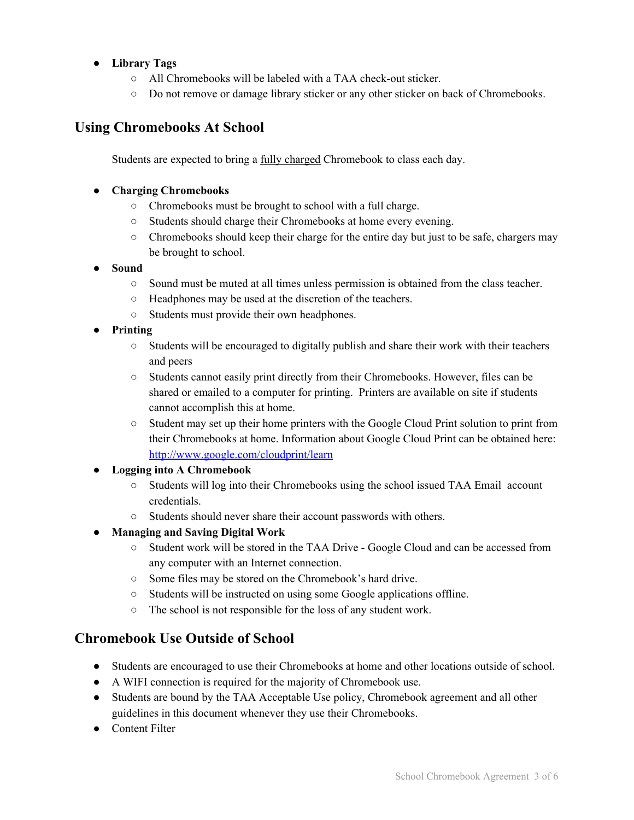### **● Library Tags**

- All Chromebooks will be labeled with a TAA check-out sticker.
- Do not remove or damage library sticker or any other sticker on back of Chromebooks.

## **Using Chromebooks At School**

Students are expected to bring a fully charged Chromebook to class each day.

#### **● Charging Chromebooks**

- **○** Chromebooks must be brought to school with a full charge.
- **○** Students should charge their Chromebooks at home every evening.
- **○** Chromebooks should keep their charge for the entire day but just to be safe, chargers may be brought to school.

#### **● Sound**

- **○** Sound must be muted at all times unless permission is obtained from the class teacher.
- **○** Headphones may be used at the discretion of the teachers.
- Students must provide their own headphones.
- **● Printing**
	- Students will be encouraged to digitally publish and share their work with their teachers and peers
	- Students cannot easily print directly from their Chromebooks. However, files can be shared or emailed to a computer for printing. Printers are available on site if students cannot accomplish this at home.
	- Student may set up their home printers with the Google Cloud Print solution to print from their Chromebooks at home. Information about Google Cloud Print can be obtained here: <http://www.google.com/cloudprint/learn>

### **● Logging into A Chromebook**

- Students will log into their Chromebooks using the school issued TAA Email account credentials.
- Students should never share their account passwords with others.
- **● Managing and Saving Digital Work**
	- Student work will be stored in the TAA Drive Google Cloud and can be accessed from any computer with an Internet connection.
	- Some files may be stored on the Chromebook's hard drive.
	- Students will be instructed on using some Google applications offline.
	- The school is not responsible for the loss of any student work.

## **Chromebook Use Outside of School**

- Students are encouraged to use their Chromebooks at home and other locations outside of school.
- A WIFI connection is required for the majority of Chromebook use.
- Students are bound by the TAA Acceptable Use policy, Chromebook agreement and all other guidelines in this document whenever they use their Chromebooks.
- Content Filter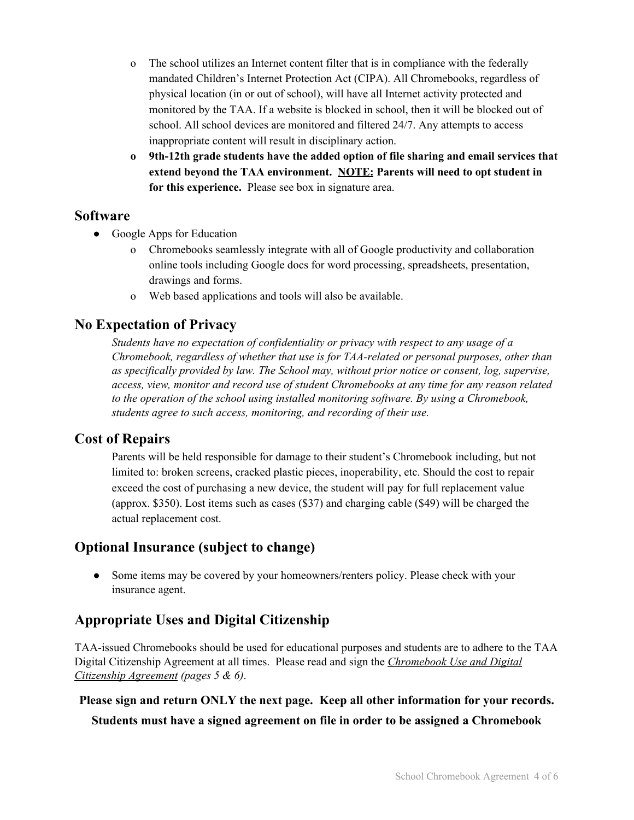- o The school utilizes an Internet content filter that is in compliance with the federally mandated Children's Internet Protection Act (CIPA). All Chromebooks, regardless of physical location (in or out of school), will have all Internet activity protected and monitored by the TAA. If a website is blocked in school, then it will be blocked out of school. All school devices are monitored and filtered 24/7. Any attempts to access inappropriate content will result in disciplinary action.
- **o 9th-12th grade students have the added option of file sharing and email services that extend beyond the TAA environment. NOTE: Parents will need to opt student in for this experience.** Please see box in signature area.

## **Software**

- Google Apps for Education
	- o Chromebooks seamlessly integrate with all of Google productivity and collaboration online tools including Google docs for word processing, spreadsheets, presentation, drawings and forms.
	- o Web based applications and tools will also be available.

## **No Expectation of Privacy**

*Students have no expectation of confidentiality or privacy with respect to any usage of a Chromebook, regardless of whether that use is for TAA-related or personal purposes, other than as specifically provided by law. The School may, without prior notice or consent, log, supervise, access, view, monitor and record use of student Chromebooks at any time for any reason related to the operation of the school using installed monitoring software. By using a Chromebook, students agree to such access, monitoring, and recording of their use.*

## **Cost of Repairs**

Parents will be held responsible for damage to their student's Chromebook including, but not limited to: broken screens, cracked plastic pieces, inoperability, etc. Should the cost to repair exceed the cost of purchasing a new device, the student will pay for full replacement value (approx. \$350). Lost items such as cases (\$37) and charging cable (\$49) will be charged the actual replacement cost.

## **Optional Insurance (subject to change)**

**●** Some items may be covered by your homeowners/renters policy. Please check with your insurance agent.

# **Appropriate Uses and Digital Citizenship**

TAA-issued Chromebooks should be used for educational purposes and students are to adhere to the TAA Digital Citizenship Agreement at all times. Please read and sign the *Chromebook Use and Digital Citizenship Agreement (pages 5 & 6)*.

### **Please sign and return ONLY the next page. Keep all other information for your records.**

**Students must have a signed agreement on file in order to be assigned a Chromebook**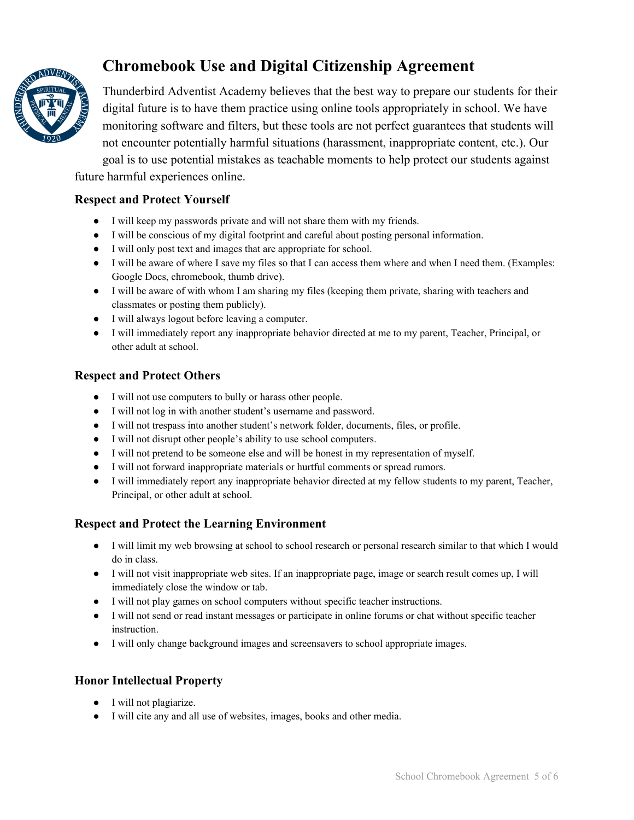

# **Chromebook Use and Digital Citizenship Agreement**

Thunderbird Adventist Academy believes that the best way to prepare our students for their digital future is to have them practice using online tools appropriately in school. We have monitoring software and filters, but these tools are not perfect guarantees that students will not encounter potentially harmful situations (harassment, inappropriate content, etc.). Our goal is to use potential mistakes as teachable moments to help protect our students against future harmful experiences online.

#### **Respect and Protect Yourself**

- I will keep my passwords private and will not share them with my friends.
- I will be conscious of my digital footprint and careful about posting personal information.
- I will only post text and images that are appropriate for school.
- I will be aware of where I save my files so that I can access them where and when I need them. (Examples: Google Docs, chromebook, thumb drive).
- I will be aware of with whom I am sharing my files (keeping them private, sharing with teachers and classmates or posting them publicly).
- I will always logout before leaving a computer.
- I will immediately report any inappropriate behavior directed at me to my parent, Teacher, Principal, or other adult at school.

#### **Respect and Protect Others**

- I will not use computers to bully or harass other people.
- I will not log in with another student's username and password.
- I will not trespass into another student's network folder, documents, files, or profile.
- I will not disrupt other people's ability to use school computers.
- I will not pretend to be someone else and will be honest in my representation of myself.
- I will not forward inappropriate materials or hurtful comments or spread rumors.
- I will immediately report any inappropriate behavior directed at my fellow students to my parent, Teacher, Principal, or other adult at school.

### **Respect and Protect the Learning Environment**

- I will limit my web browsing at school to school research or personal research similar to that which I would do in class.
- I will not visit inappropriate web sites. If an inappropriate page, image or search result comes up, I will immediately close the window or tab.
- I will not play games on school computers without specific teacher instructions.
- I will not send or read instant messages or participate in online forums or chat without specific teacher instruction.
- I will only change background images and screensavers to school appropriate images.

#### **Honor Intellectual Property**

- I will not plagiarize.
- I will cite any and all use of websites, images, books and other media.